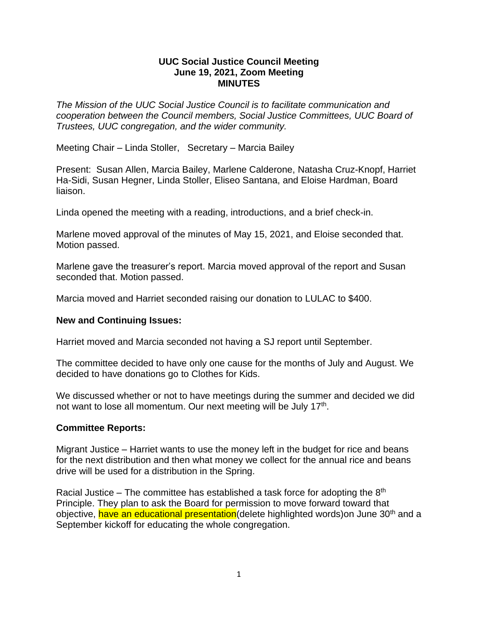## **UUC Social Justice Council Meeting June 19, 2021, Zoom Meeting MINUTES**

*The Mission of the UUC Social Justice Council is to facilitate communication and cooperation between the Council members, Social Justice Committees, UUC Board of Trustees, UUC congregation, and the wider community.*

Meeting Chair – Linda Stoller, Secretary – Marcia Bailey

Present: Susan Allen, Marcia Bailey, Marlene Calderone, Natasha Cruz-Knopf, Harriet Ha-Sidi, Susan Hegner, Linda Stoller, Eliseo Santana, and Eloise Hardman, Board liaison.

Linda opened the meeting with a reading, introductions, and a brief check-in.

Marlene moved approval of the minutes of May 15, 2021, and Eloise seconded that. Motion passed.

Marlene gave the treasurer's report. Marcia moved approval of the report and Susan seconded that. Motion passed.

Marcia moved and Harriet seconded raising our donation to LULAC to \$400.

## **New and Continuing Issues:**

Harriet moved and Marcia seconded not having a SJ report until September.

The committee decided to have only one cause for the months of July and August. We decided to have donations go to Clothes for Kids.

We discussed whether or not to have meetings during the summer and decided we did not want to lose all momentum. Our next meeting will be July 17<sup>th</sup>.

## **Committee Reports:**

Migrant Justice – Harriet wants to use the money left in the budget for rice and beans for the next distribution and then what money we collect for the annual rice and beans drive will be used for a distribution in the Spring.

Racial Justice – The committee has established a task force for adopting the  $8<sup>th</sup>$ Principle. They plan to ask the Board for permission to move forward toward that objective, have an educational presentation (delete highlighted words) on June 30<sup>th</sup> and a September kickoff for educating the whole congregation.